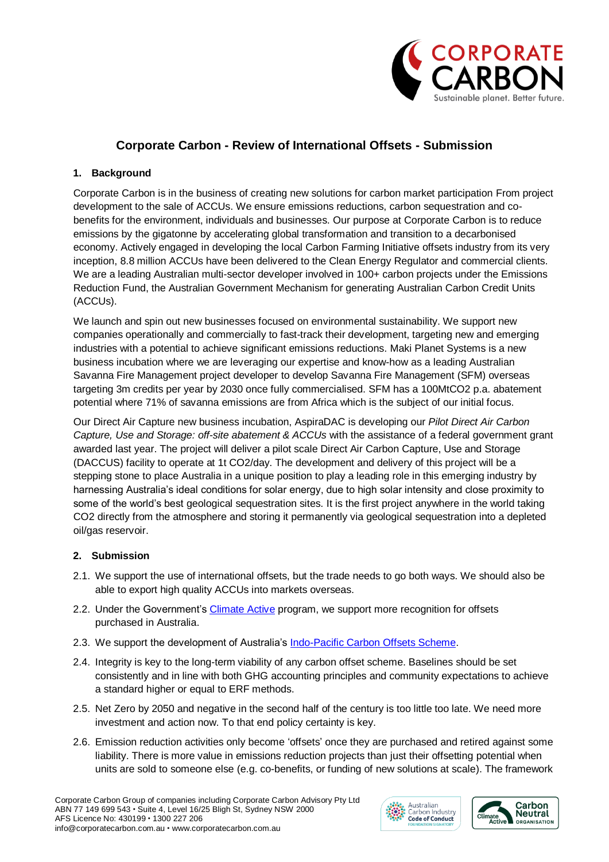

## **Corporate Carbon - Review of International Offsets - Submission**

## **1. Background**

Corporate Carbon is in the business of creating new solutions for carbon market participation From project development to the sale of ACCUs. We ensure emissions reductions, carbon sequestration and cobenefits for the environment, individuals and businesses. Our purpose at Corporate Carbon is to reduce emissions by the gigatonne by accelerating global transformation and transition to a decarbonised economy. Actively engaged in developing the local Carbon Farming Initiative offsets industry from its very inception, 8.8 million ACCUs have been delivered to the Clean Energy Regulator and commercial clients. We are a leading Australian multi-sector developer involved in 100+ carbon projects under the Emissions Reduction Fund, the Australian Government Mechanism for generating Australian Carbon Credit Units (ACCUs).

We launch and spin out new businesses focused on environmental sustainability. We support new companies operationally and commercially to fast-track their development, targeting new and emerging industries with a potential to achieve significant emissions reductions. Maki Planet Systems is a new business incubation where we are leveraging our expertise and know-how as a leading Australian Savanna Fire Management project developer to develop Savanna Fire Management (SFM) overseas targeting 3m credits per year by 2030 once fully commercialised. SFM has a 100MtCO2 p.a. abatement potential where 71% of savanna emissions are from Africa which is the subject of our initial focus.

Our Direct Air Capture new business incubation, AspiraDAC is developing our *Pilot Direct Air Carbon Capture, Use and Storage: off-site abatement & ACCUs* with the assistance of a federal government grant awarded last year. The project will deliver a pilot scale Direct Air Carbon Capture, Use and Storage (DACCUS) facility to operate at 1t CO2/day. The development and delivery of this project will be a stepping stone to place Australia in a unique position to play a leading role in this emerging industry by harnessing Australia's ideal conditions for solar energy, due to high solar intensity and close proximity to some of the world's best geological sequestration sites. It is the first project anywhere in the world taking CO2 directly from the atmosphere and storing it permanently via geological sequestration into a depleted oil/gas reservoir.

## **2. Submission**

- 2.1. We support the use of international offsets, but the trade needs to go both ways. We should also be able to export high quality ACCUs into markets overseas.
- 2.2. Under the Government's [Climate Active](https://www.climateactive.org.au/) program, we support more recognition for offsets purchased in Australia.
- 2.3. We support the development of Australia's [Indo-Pacific Carbon Offsets Scheme.](https://www.industry.gov.au/ipcos)
- 2.4. Integrity is key to the long-term viability of any carbon offset scheme. Baselines should be set consistently and in line with both GHG accounting principles and community expectations to achieve a standard higher or equal to ERF methods.
- 2.5. Net Zero by 2050 and negative in the second half of the century is too little too late. We need more investment and action now. To that end policy certainty is key.
- 2.6. Emission reduction activities only become 'offsets' once they are purchased and retired against some liability. There is more value in emissions reduction projects than just their offsetting potential when units are sold to someone else (e.g. co-benefits, or funding of new solutions at scale). The framework